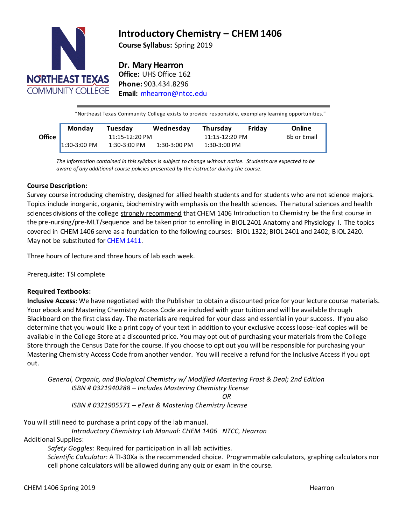

# **Introductory Chemistry – CHEM 1406**

**Course Syllabus:** Spring 2019

# **Dr. Mary Hearron**

**Office:** UHS Office 162 **Phone:** 903.434.8296 **Email:** [mhearron@ntcc.edu](mailto:mhearron@ntcc.edu)

"Northeast Texas Community College exists to provide responsible, exemplary learning opportunities."

|               | Monday       | Tuesday        | Wednesday    | Thursday       | Fridav | Online      |
|---------------|--------------|----------------|--------------|----------------|--------|-------------|
| <b>Office</b> |              | 11:15-12:20 PM |              | 11:15-12:20 PM |        | Bb or Email |
|               | 1:30-3:00 PM | 1:30-3:00 PM   | 1:30-3:00 PM | 1:30-3:00 PM   |        |             |

**Email or Bb** *aware of any additional course policies presented by the instructor during the course. The information contained in thissyllabus is subject to change without notice. Students are expected to be*

# **Course Description:**

Survey course introducing chemistry, designed for allied health students and for students who are not science majors. Topics include inorganic, organic, biochemistry with emphasis on the health sciences. The natural sciences and health sciences divisions of the college strongly recommend that CHEM 1406 Introduction to Chemistry be the first course in the pre-nursing/pre-MLT/sequence and be taken prior to enrolling in BIOL 2401 Anatomy and Physiology I. The topics covered in CHEM 1406 serve as a foundation to the following courses: BIOL 1322; BIOL 2401 and 2402; BIOL 2420. May not be substituted for **[CHEM](http://catalog.ntcc.edu/content.php?filter%5B27%5D=CHEM&filter%5B29%5D&filter%5Bcourse_type%5D=-1&filter%5Bkeyword%5D&filter%5B32%5D=1&filter%5Bcpage%5D=1&cur_cat_oid=3&expand&navoid=752&search_database=Filter&tt5818) 1411**.

Three hours of lecture and three hours of lab each week.

Prerequisite: TSI complete

# **Required Textbooks:**

**Inclusive Access**: We have negotiated with the Publisher to obtain a discounted price for your lecture course materials. Your ebook and Mastering Chemistry Access Code are included with your tuition and will be available through Blackboard on the first class day. The materials are required for your class and essential in your success. If you also determine that you would like a print copy of your text in addition to your exclusive access loose-leaf copies will be available in the College Store at a discounted price. You may opt out of purchasing your materials from the College Store through the Census Date for the course. If you choose to opt out you will be responsible for purchasing your Mastering Chemistry Access Code from another vendor. You will receive a refund for the Inclusive Access if you opt out.

*General, Organic, and Biological Chemistry w/ Modified Mastering Frost & Deal; 2nd Edition ISBN # 0321940288 – Includes Mastering Chemistry license OR*

*ISBN # 0321905571 – eText & Mastering Chemistry license*

You will still need to purchase a print copy of the lab manual.

*Introductory Chemistry Lab Manual: CHEM 1406 NTCC, Hearron*

Additional Supplies:

*Safety Goggles:* Required for participation in all lab activities*.*

*Scientific Calculator*: A TI-30Xa is the recommended choice. Programmable calculators, graphing calculators nor cell phone calculators will be allowed during any quiz or exam in the course.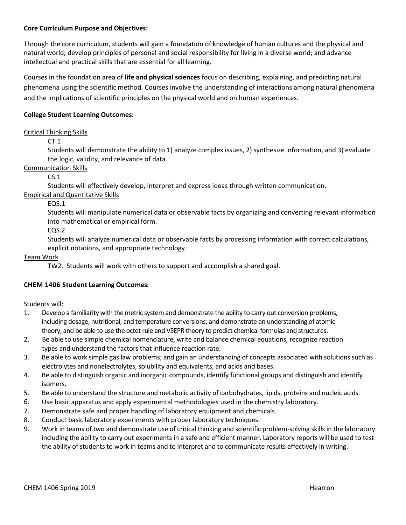# **Core Curriculum Purpose and Objectives:**

Through the core curriculum, students will gain a foundation of knowledge of human cultures and the physical and natural world; develop principles of personal and social responsibility for living in a diverse world; and advance intellectual and practical skills that are essential for all learning.

Courses in the foundation area of **life and physical sciences** focus on describing, explaining, and predicting natural phenomena using the scientific method. Courses involve the understanding of interactions among natural phenomena and the implications of scientific principles on the physical world and on human experiences.

# **College Student Learning Outcomes:**

# Critical Thinking Skills

CT.1

Students will demonstrate the ability to 1) analyze complex issues, 2) synthesize information, and 3) evaluate the logic, validity, and relevance of data.

# Communication Skills

 $CS.1$ 

Students will effectively develop, interpret and express ideas through written communication.

# Empirical and Quantitative Skills

EQS.1

Students will manipulate numerical data or observable facts by organizing and converting relevant information into mathematical or empirical form.

EQS.2

Students will analyze numerical data or observable facts by processing information with correct calculations, explicit notations, and appropriate technology.

#### Team Work

TW2. Students will work with others to support and accomplish a shared goal.

# **CHEM 1406 Student Learning Outcomes:**

Students will:

- 1. Develop a familiarity with the metric system and demonstrate the ability to carry out conversion problems, including dosage, nutritional, and temperature conversions; and demonstrate an understanding of atomic theory, and be able to use the octet rule and VSEPR theory to predict chemical formulas and structures.
- 2. Be able to use simple chemical nomenclature, write and balance chemical equations, recognize reaction types and understand the factors that influence reaction rate.
- 3. Be able to work simple gas law problems; and gain an understanding of concepts associated with solutions such as electrolytes and nonelectrolytes, solubility and equivalents, and acids and bases.
- 4. Be able to distinguish organic and inorganic compounds, identify functional groups and distinguish and identify isomers.
- 5. Be able to understand the structure and metabolic activity of carbohydrates, lipids, proteins and nucleic acids.
- 6. Use basic apparatus and apply experimental methodologies used in the chemistry laboratory.
- 7. Demonstrate safe and proper handling of laboratory equipment and chemicals.
- 8. Conduct basic laboratory experiments with proper laboratory techniques.
- 9. Work in teams of two and demonstrate use of critical thinking and scientific problem-solving skills in the laboratory including the ability to carry out experiments in a safe and efficient manner. Laboratory reports will be used to test the ability of students to work in teams and to interpret and to communicate results effectively in writing.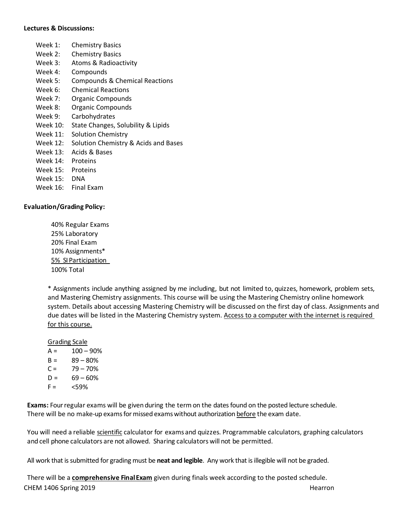#### **Lectures & Discussions:**

- Week 1: Chemistry Basics
- Week 2: Chemistry Basics
- Week 3: Atoms & Radioactivity
- Week 4: Compounds
- Week 5: Compounds & Chemical Reactions
- Week 6: Chemical Reactions
- Week 7: Organic Compounds
- Week 8: Organic Compounds
- Week 9: Carbohydrates
- Week 10: State Changes, Solubility & Lipids
- Week 11: Solution Chemistry
- Week 12: Solution Chemistry & Acids and Bases
- Week 13: Acids & Bases
- Week 14: Proteins
- Week 15: Proteins
- Week 15: DNA
- Week 16: Final Exam

#### **Evaluation/Grading Policy:**

40% Regular Exams 25% Laboratory 20% Final Exam 10% Assignments\* 5% SI Participation 100% Total

\* Assignments include anything assigned by me including, but not limited to, quizzes, homework, problem sets, and Mastering Chemistry assignments. This course will be using the Mastering Chemistry online homework system. Details about accessing Mastering Chemistry will be discussed on the first day of class. Assignments and due dates will be listed in the Mastering Chemistry system. Access to a computer with the internet is required for this course.

#### Grading Scale

- $A = 100 90%$  $B = 89 - 80%$
- $C = 79 70%$
- $D = 69 60%$
- $F = \frac{59\%}{40}$
- 

**Exams:** Four regular exams will be given during the term on the dates found on the posted lecture schedule. There will be no make-up exams for missed exams without authorization before the exam date.

You will need a reliable scientific calculator for exams and quizzes. Programmable calculators, graphing calculators and cell phone calculators are not allowed. Sharing calculators will not be permitted.

All work that is submitted for grading must be **neat and legible**. Any work that is illegible will not be graded.

CHEM 1406 Spring 2019 **Hearron** Hearron **Hearron Hearron Hearron Hearron Hearron** There will be a **comprehensive FinalExam** given during finals week according to the posted schedule.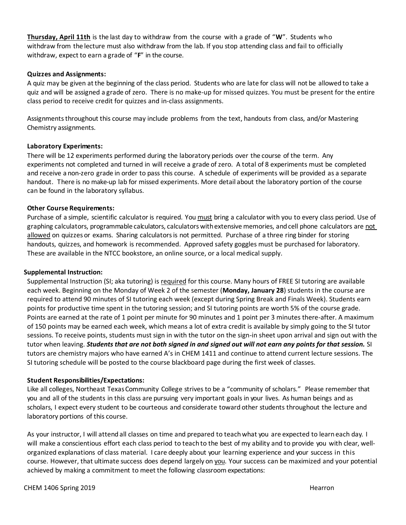**Thursday, April 11th** is the last day to withdraw from the course with a grade of "**W**". Students who withdraw from the lecture must also withdraw from the lab. If you stop attending class and fail to officially withdraw, expect to earn a grade of "**F**" in the course.

### **Quizzes and Assignments:**

A quiz may be given at the beginning of the class period. Students who are late for class will not be allowed to take a quiz and will be assigned a grade of zero. There is no make-up for missed quizzes. You must be present for the entire class period to receive credit for quizzes and in-class assignments.

Assignmentsthroughout this course may include problems from the text, handouts from class, and/or Mastering Chemistry assignments.

#### **Laboratory Experiments:**

There will be 12 experiments performed during the laboratory periods over the course of the term. Any experiments not completed and turned in will receive a grade of zero. A total of 8 experiments must be completed and receive a non-zero grade in order to pass this course. A schedule of experiments will be provided as a separate handout. There is no make-up lab for missed experiments. More detail about the laboratory portion of the course can be found in the laboratory syllabus.

#### **Other Course Requirements:**

Purchase of a simple, scientific calculator is required. You must bring a calculator with you to every class period. Use of graphing calculators, programmable calculators, calculators with extensive memories, and cell phone calculators are not allowed on quizzes or exams. Sharing calculators is not permitted. Purchase of a three ring binder for storing handouts, quizzes, and homework is recommended. Approved safety goggles must be purchased for laboratory. These are available in the NTCC bookstore, an online source, or a local medical supply.

#### **Supplemental Instruction:**

Supplemental Instruction (SI; aka tutoring) is required for this course. Many hours of FREE SI tutoring are available each week. Beginning on the Monday of Week 2 of the semester (**Monday, January 28**) students in the course are required to attend 90 minutes of SI tutoring each week (except during Spring Break and Finals Week). Students earn points for productive time spent in the tutoring session; and SI tutoring points are worth 5% of the course grade. Points are earned at the rate of 1 point per minute for 90 minutes and 1 point per 3 minutes there-after. A maximum of 150 points may be earned each week, which means a lot of extra credit is available by simply going to the SI tutor sessions. To receive points, students must sign in with the tutor on the sign-in sheet upon arrival and sign out with the tutor when leaving. *Students that are not both signed in and signed out will not earn any points for that session.* SI tutors are chemistry majors who have earned A's in CHEM 1411 and continue to attend current lecture sessions. The SI tutoring schedule will be posted to the course blackboard page during the first week of classes.

#### **Student Responsibilities/Expectations:**

Like all colleges, Northeast TexasCommunity College strives to be a "community of scholars." Please remember that you and all of the students in this class are pursuing very important goals in your lives. As human beings and as scholars, I expect every student to be courteous and considerate toward other students throughout the lecture and laboratory portions of this course.

As your instructor, I will attend all classes on time and prepared to teachwhat you are expected to learn each day. I will make a conscientious effort each class period to teach to the best of my ability and to provide you with clear, wellorganized explanations of class material. I care deeply about your learning experience and your success in this course. However, that ultimate success does depend largely on you. Your success can be maximized and your potential achieved by making a commitment to meet the following classroom expectations: